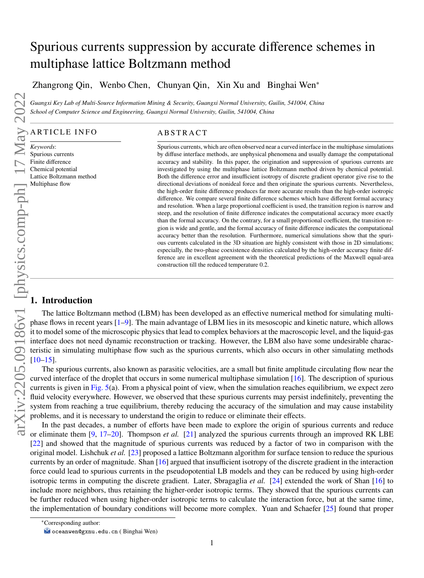# Spurious currents suppression by accurate difference schemes in multiphase lattice Boltzmann method

Zhangrong Qin, Wenbo Chen, Chunyan Qin, Xin Xu and Binghai Wen<sup>∗</sup>

*Guangxi Key Lab of Multi-Source Information Mining & Security, Guangxi Normal University, Guilin, 541004, China School of Computer Science and Engineering, Guangxi Normal University, Guilin, 541004, China*

# ARTICLE INFO

Spurious currents Finite difference Chemical potential Lattice Boltzmann method

# **ABSTRACT**

Spurious currents, which are often observed near a curved interface in the multiphase simulations by diffuse interface methods, are unphysical phenomena and usually damage the computational accuracy and stability. In this paper, the origination and suppression of spurious currents are investigated by using the multiphase lattice Boltzmann method driven by chemical potential. Both the difference error and insufficient isotropy of discrete gradient operator give rise to the directional deviations of nonideal force and then originate the spurious currents. Nevertheless, the high-order finite difference produces far more accurate results than the high-order isotropic difference. We compare several finite difference schemes which have different formal accuracy and resolution. When a large proportional coefficient is used, the transition region is narrow and steep, and the resolution of finite difference indicates the computational accuracy more exactly than the formal accuracy. On the contrary, for a small proportional coefficient, the transition region is wide and gentle, and the formal accuracy of finite difference indicates the computational accuracy better than the resolution. Furthermore, numerical simulations show that the spurious currents calculated in the 3D situation are highly consistent with those in 2D simulations; especially, the two-phase coexistence densities calculated by the high-order accuracy finite difference are in excellent agreement with the theoretical predictions of the Maxwell equal-area construction till the reduced temperature 0.2.

# **1. Introduction**

The lattice Boltzmann method (LBM) has been developed as an effective numerical method for simulating multiphase flows in recent years [\[1](#page-16-0)[–9\]](#page-16-1). The main advantage of LBM lies in its mesoscopic and kinetic nature, which allows it to model some of the microscopic physics that lead to complex behaviors at the macroscopic level, and the liquid-gas interface does not need dynamic reconstruction or tracking. However, the LBM also have some undesirable characteristic in simulating multiphase flow such as the spurious currents, which also occurs in other simulating methods

The spurious currents, also known as parasitic velocities, are a small but finite amplitude circulating flow near the curved interface of the droplet that occurs in some numerical multiphase simulation [\[16\]](#page-16-4). The description of spurious currents is given in [Fig. 5\(](#page-8-0)a). From a physical point of view, when the simulation reaches equilibrium, we expect zero fluid velocity everywhere. However, we observed that these spurious currents may persist indefinitely, preventing the system from reaching a true equilibrium, thereby reducing the accuracy of the simulation and may cause instability problems, and it is necessary to understand the origin to reduce or eliminate their effects.

In the past decades, a number of efforts have been made to explore the origin of spurious currents and reduce or eliminate them [\[9,](#page-16-1) [17–](#page-16-5)[20\]](#page-16-6). Thompson *et al.* [\[21\]](#page-16-7) analyzed the spurious currents through an improved RK LBE [\[22\]](#page-16-8) and showed that the magnitude of spurious currents was reduced by a factor of two in comparison with the original model. Lishchuk *et al.* [\[23\]](#page-16-9) proposed a lattice Boltzmann algorithm for surface tension to reduce the spurious currents by an order of magnitude. Shan [\[16\]](#page-16-4) argued that insufficient isotropy of the discrete gradient in the interaction force could lead to spurious currents in the pseudopotential LB models and they can be reduced by using high-order isotropic terms in computing the discrete gradient. Later, Sbragaglia *et al.* [\[24\]](#page-17-0) extended the work of Shan [\[16\]](#page-16-4) to include more neighbors, thus retaining the higher-order isotropic terms. They showed that the spurious currents can be further reduced when using higher-order isotropic terms to calculate the interaction force, but at the same time, the implementation of boundary conditions will become more complex. Yuan and Schaefer [\[25\]](#page-17-1) found that proper

<sup>∗</sup>Corresponding author:

oceanwen@gxnu.edu.cn ( Binghai Wen)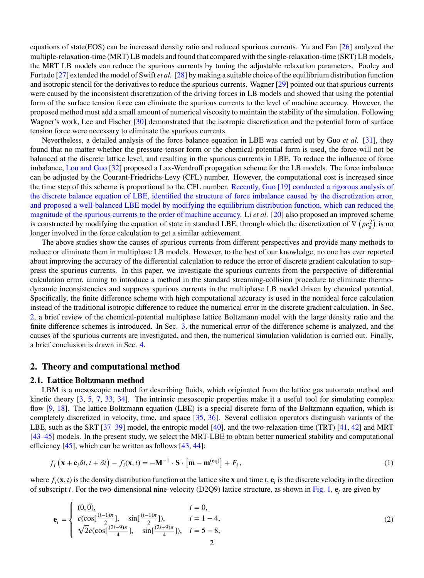equations of state(EOS) can be increased density ratio and reduced spurious currents. Yu and Fan [\[26\]](#page-17-2) analyzed the multiple-relaxation-time (MRT) LB models and found that compared with the single-relaxation-time (SRT) LB models, the MRT LB models can reduce the spurious currents by tuning the adjustable relaxation parameters. Pooley and Furtado [\[27\]](#page-17-3) extended the model of Swift *et al.* [\[28\]](#page-17-4) by making a suitable choice of the equilibrium distribution function and isotropic stencil for the derivatives to reduce the spurious currents. Wagner [\[29\]](#page-17-5) pointed out that spurious currents were caused by the inconsistent discretization of the driving forces in LB models and showed that using the potential form of the surface tension force can eliminate the spurious currents to the level of machine accuracy. However, the proposed method must add a small amount of numerical viscosity to maintain the stability of the simulation. Following Wagner's work, Lee and Fischer [\[30\]](#page-17-6) demonstrated that the isotropic discretization and the potential form of surface tension force were necessary to eliminate the spurious currents.

Nevertheless, a detailed analysis of the force balance equation in LBE was carried out by Guo *et al.* [\[31\]](#page-17-7), they found that no matter whether the pressure-tensor form or the chemical-potential form is used, the force will not be balanced at the discrete lattice level, and resulting in the spurious currents in LBE. To reduce the influence of force imbalance, Lou and Guo [\[32\]](#page-17-8) proposed a Lax-Wendroff propagation scheme for the LB models. The force imbalance can be adjusted by the Courant-Friedrichs-Levy (CFL) number. However, the computational cost is increased since the time step of this scheme is proportional to the CFL number. Recently, Guo [\[19\]](#page-16-10) conducted a rigorous analysis of the discrete balance equation of LBE, identified the structure of force imbalance caused by the discretization error, and proposed a well-balanced LBE model by modifying the equilibrium distribution function, which can reduced the magnitude of the spurious currents to the order of machine accuracy. Li *et al.* [\[20\]](#page-16-6) also proposed an improved scheme is constructed by modifying the equation of state in standard LBE, through which the discretization of  $\nabla (\rho c_s^2)$ ) is no longer involved in the force calculation to get a similar achievement.

The above studies show the causes of spurious currents from different perspectives and provide many methods to reduce or eliminate them in multiphase LB models. However, to the best of our knowledge, no one has ever reported about improving the accuracy of the differential calculation to reduce the error of discrete gradient calculation to suppress the spurious currents. In this paper, we investigate the spurious currents from the perspective of differential calculation error, aiming to introduce a method in the standard streaming-collision procedure to eliminate thermodynamic inconsistencies and suppress spurious currents in the multiphase LB model driven by chemical potential. Specifically, the finite difference scheme with high computational accuracy is used in the nonideal force calculation instead of the traditional isotropic difference to reduce the numerical error in the discrete gradient calculation. In Sec. [2,](#page-1-0) a brief review of the chemical-potential multiphase lattice Boltzmann model with the large density ratio and the finite difference schemes is introduced. In Sec. [3,](#page-5-0) the numerical error of the difference scheme is analyzed, and the causes of the spurious currents are investigated, and then, the numerical simulation validation is carried out. Finally, a brief conclusion is drawn in Sec. [4.](#page-14-0)

# <span id="page-1-0"></span>**2. Theory and computational method**

#### **2.1. Lattice Boltzmann method**

LBM is a mesoscopic method for describing fluids, which originated from the lattice gas automata method and kinetic theory [\[3,](#page-16-11) [5,](#page-16-12) [7,](#page-16-13) [33,](#page-17-9) [34\]](#page-17-10). The intrinsic mesoscopic properties make it a useful tool for simulating complex flow [\[9,](#page-16-1) [18\]](#page-16-14). The lattice Boltzmann equation (LBE) is a special discrete form of the Boltzmann equation, which is completely discretized in velocity, time, and space [\[35,](#page-17-11) [36\]](#page-17-12). Several collision operators distinguish variants of the LBE, such as the SRT [\[37–](#page-17-13)[39\]](#page-17-14) model, the entropic model [\[40\]](#page-17-15), and the two-relaxation-time (TRT) [\[41,](#page-17-16) [42\]](#page-17-17) and MRT [\[43](#page-17-18)[–45\]](#page-17-19) models. In the present study, we select the MRT-LBE to obtain better numerical stability and computational efficiency [\[45\]](#page-17-19), which can be written as follows [\[43,](#page-17-18) [44\]](#page-17-20):

$$
f_i\left(\mathbf{x} + \mathbf{e}_i \delta t, t + \delta t\right) - f_i(\mathbf{x}, t) = -\mathbf{M}^{-1} \cdot \mathbf{S} \cdot \left[\mathbf{m} - \mathbf{m}^{(\text{eq})}\right] + F_i,
$$
\n(1)

where  $f_i(\mathbf{x}, t)$  is the density distribution function at the lattice site **x** and time *t*,  $\mathbf{e}_i$  is the discrete velocity in the direction of subscript *i*. For the two-dimensional nine-velocity (D2Q9) lattice structure, as shown in [Fig. 1,](#page-2-0)  $e_i$  are given by

$$
\mathbf{e}_{i} = \begin{cases}\n(0,0), & i = 0, \\
c(\cos[\frac{(i-1)\pi}{2}], \sin[\frac{(i-1)\pi}{2}]), & i = 1-4, \\
\sqrt{2}c(\cos[\frac{(2i-9)\pi}{4}], \sin[\frac{(2i-9)\pi}{4}]), & i = 5-8,\n\end{cases}
$$
\n(2)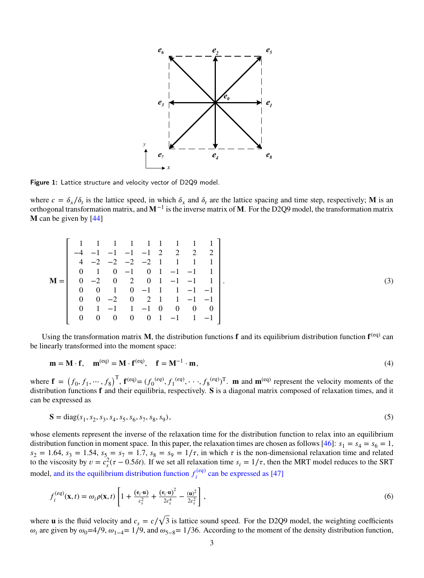<span id="page-2-0"></span>

Figure 1: Lattice structure and velocity vector of D2Q9 model.

where  $c = \delta_x/\delta_t$  is the lattice speed, in which  $\delta_x$  and  $\delta_t$  are the lattice spacing and time step, respectively; **M** is an orthogonal transformation matrix, and **M**<sup>−1</sup> is the inverse matrix of **M**. For the D2Q9 model, the transformation matrix **M** can be given by [\[44\]](#page-17-20)

| $\theta$ |              |   |                              |              |          |                 |                                                                                                                                                                                                                                                                         |
|----------|--------------|---|------------------------------|--------------|----------|-----------------|-------------------------------------------------------------------------------------------------------------------------------------------------------------------------------------------------------------------------------------------------------------------------|
| 0        |              |   |                              |              |          |                 |                                                                                                                                                                                                                                                                         |
| $\theta$ |              |   |                              |              |          |                 |                                                                                                                                                                                                                                                                         |
| $\Omega$ | $\left($     |   |                              |              |          |                 |                                                                                                                                                                                                                                                                         |
| $\theta$ |              |   |                              |              | $\theta$ |                 | $0 \quad 0$                                                                                                                                                                                                                                                             |
| 0        | $\mathbf{0}$ | 0 |                              |              |          |                 |                                                                                                                                                                                                                                                                         |
|          |              |   | $\mathbf{1}$<br>$\mathbf{0}$ | $\mathbf{0}$ |          | $1 -1$ $1 -1$ 0 | 1 1 1 1 1 1 1 1 1<br>$-4$ $-1$ $-1$ $-1$ $-1$ 2 2 2 2<br>$4$ $-2$ $-2$ $-2$ $-2$ 1 1 1 1<br>$0 \t -1 \t 0 \t 1 \t -1 \t -1 \t 1$<br>$-2$ 0 2 0 1 $-1$ $-1$ 1<br>$1 \t 0 \t -1 \t 1 \t 1 \t -1 \t -1$<br>$-2$ 0 2 1 1 $-1$ $-1$<br>$0 \quad 1 \quad -1 \quad 1 \quad -1$ |

Using the transformation matrix M, the distribution functions f and its equilibrium distribution function f<sup>(eq)</sup> can be linearly transformed into the moment space:

$$
\mathbf{m} = \mathbf{M} \cdot \mathbf{f}, \quad \mathbf{m}^{(eq)} = \mathbf{M} \cdot \mathbf{f}^{(eq)}, \quad \mathbf{f} = \mathbf{M}^{-1} \cdot \mathbf{m}, \tag{4}
$$

*.* (3)

where  $\mathbf{f} = (f_0, f_1, \dots, f_8)^\text{T}$ ,  $\mathbf{f}^{(\text{eq})} = (f_0^{(\text{eq})}, f_1^{(\text{eq})}, \dots, f_8^{(\text{eq})})^\text{T}$ . **m** and **m**<sup>(eq)</sup> represent the velocity moments of the distribution functions **f** and their equilibria, respectively. **S** is a diagonal matrix composed of relaxation times, and it can be expressed as

$$
S = diag(s_1, s_2, s_3, s_4, s_5, s_6, s_7, s_8, s_9),
$$
\n<sup>(5)</sup>

whose elements represent the inverse of the relaxation time for the distribution function to relax into an equilibrium distribution function in moment space. In this paper, the relaxation times are chosen as follows  $[46]$ :  $s_1 = s_4 = s_6 = 1$ ,  $s_2 = 1.64$ ,  $s_3 = 1.54$ ,  $s_5 = s_7 = 1.7$ ,  $s_8 = s_9 = 1/\tau$ , in which  $\tau$  is the non-dimensional relaxation time and related to the viscosity by  $v = c_s^2(\tau - 0.5\delta t)$ . If we set all relaxation time  $s_i = 1/\tau$ , then the MRT model reduces to the SRT model, and its the equilibrium distribution function  $f_i^{(eq)}$  $\hat{a}^{(eq)}$  can be expressed as [\[47\]](#page-17-22)

$$
f_i^{(eq)}(\mathbf{x},t) = \omega_i \rho(\mathbf{x},t) \left[ 1 + \frac{(\mathbf{e}_i \cdot \mathbf{u})}{c_s^2} + \frac{(\mathbf{e}_i \cdot \mathbf{u})^2}{2c_s^4} - \frac{(\mathbf{u})^2}{2c_s^2} \right],
$$
\n
$$
(6)
$$

where **u** is the fluid velocity and  $c_s = c/$ √ 3 is lattice sound speed. For the D2Q9 model, the weighting coefficients  $\omega_i$  are given by  $\omega_0$ =4/9,  $\omega_{1-4}$ = 1/9, and  $\omega_{5-8}$ = 1/36. According to the moment of the density distribution function,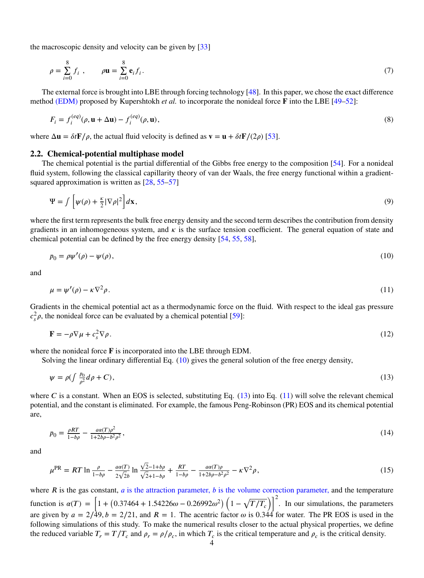the macroscopic density and velocity can be given by [\[33\]](#page-17-9)

$$
\rho = \sum_{i=0}^{8} f_i , \qquad \rho \mathbf{u} = \sum_{i=0}^{8} \mathbf{e}_i f_i . \tag{7}
$$

The external force is brought into LBE through forcing technology [\[48\]](#page-17-23). In this paper, we chose the exact difference method (EDM) proposed by Kupershtokh *et al.* to incorporate the nonideal force **F** into the LBE [\[49–](#page-17-24)[52\]](#page-17-25):

$$
F_i = f_i^{(eq)}(\rho, \mathbf{u} + \Delta \mathbf{u}) - f_i^{(eq)}(\rho, \mathbf{u}),
$$
\n(8)

where  $\Delta \mathbf{u} = \delta t \mathbf{F}/\rho$ , the actual fluid velocity is defined as  $\mathbf{v} = \mathbf{u} + \delta t \mathbf{F}/(2\rho)$  [\[53\]](#page-17-26).

#### **2.2. Chemical-potential multiphase model**

The chemical potential is the partial differential of the Gibbs free energy to the composition [\[54\]](#page-17-27). For a nonideal fluid system, following the classical capillarity theory of van der Waals, the free energy functional within a gradientsquared approximation is written as  $[28, 55-57]$  $[28, 55-57]$  $[28, 55-57]$ 

$$
\Psi = \int \left[ \psi(\rho) + \frac{\kappa}{2} |\nabla \rho|^2 \right] d\mathbf{x},\tag{9}
$$

where the first term represents the bulk free energy density and the second term describes the contribution from density gradients in an inhomogeneous system, and  $\kappa$  is the surface tension coefficient. The general equation of state and chemical potential can be defined by the free energy density [\[54,](#page-17-27) [55,](#page-17-28) [58\]](#page-18-1),

<span id="page-3-0"></span>
$$
p_0 = \rho \psi'(\rho) - \psi(\rho),\tag{10}
$$

<span id="page-3-2"></span>and

$$
\mu = \psi'(\rho) - \kappa \nabla^2 \rho. \tag{11}
$$

Gradients in the chemical potential act as a thermodynamic force on the fluid. With respect to the ideal gas pressure  $c_s^2 \rho$ , the nonideal force can be evaluated by a chemical potential [\[59\]](#page-18-2):

<span id="page-3-1"></span>
$$
\mathbf{F} = -\rho \nabla \mu + c_s^2 \nabla \rho. \tag{12}
$$

where the nonideal force **F** is incorporated into the LBE through EDM.

Solving the linear ordinary differential Eq. [\(10\)](#page-3-0) gives the general solution of the free energy density,

$$
\psi = \rho \left( \int \frac{p_0}{\rho^2} d\rho + C \right),\tag{13}
$$

where  $C$  is a constant. When an EOS is selected, substituting Eq.  $(13)$  into Eq.  $(11)$  will solve the relevant chemical potential, and the constant is eliminated. For example, the famous Peng-Robinson (PR) EOS and its chemical potential are,

$$
p_0 = \frac{\rho RT}{1 - b\rho} - \frac{a\alpha(T)\rho^2}{1 + 2b\rho - b^2\rho^2},
$$
\n(14)

and

$$
\mu^{\rm PR} = RT \ln \frac{\rho}{1 - b\rho} - \frac{a\alpha(T)}{2\sqrt{2}b} \ln \frac{\sqrt{2} - 1 + b\rho}{\sqrt{2} + 1 - b\rho} + \frac{RT}{1 - b\rho} - \frac{a\alpha(T)\rho}{1 + 2b\rho - b^2\rho^2} - \kappa \nabla^2 \rho,
$$
\n(15)

where  *is the gas constant,*  $*a*$  *is the attraction parameter,*  $*b*$  *is the volume correction parameter, and the temperature* function is  $\alpha(T) = \left[1 + (0.37464 + 1.54226\omega - 0.26992\omega^2)\left(1 - \sqrt{T/T_c}\right)\right]$  $\sqrt{1^2}$ . In our simulations, the parameters are given by  $a = 2/49$ ,  $b = 2/21$ , and  $R = 1$ . The acentric factor  $\omega$  is 0.344 for water. The PR EOS is used in the following simulations of this study. To make the numerical results closer to the actual physical properties, we define the reduced variable  $T_r = T/T_c$  and  $\rho_r = \rho/\rho_c$ , in which  $T_c$  is the critical temperature and  $\rho_c$  is the critical density.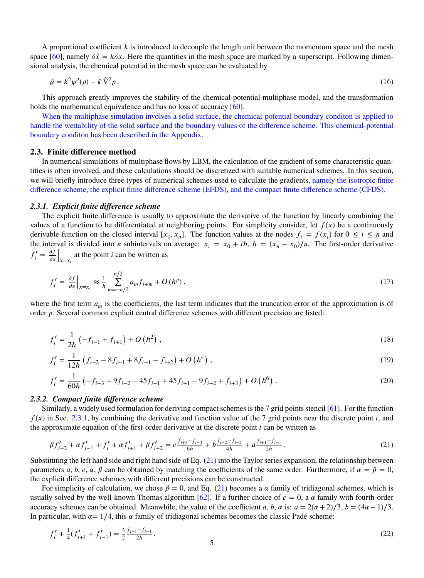A proportional coefficient k is introduced to decouple the length unit between the momentum space and the mesh space [\[60\]](#page-18-3), namely  $\delta \hat{x} = k \delta x$ . Here the quantities in the mesh space are marked by a superscript. Following dimensional analysis, the chemical potential in the mesh space can be evaluated by

$$
\hat{\mu} = k^2 \psi'(\rho) - \hat{\kappa} \hat{\nabla}^2 \rho \,. \tag{16}
$$

This approach greatly improves the stability of the chemical-potential multiphase model, and the transformation holds the mathematical equivalence and has no loss of accuracy [\[60\]](#page-18-3).

When the multiphase simulation involves a solid surface, the chemical-potential boundary conditon is applied to handle the wettability of the solid surface and the boundary values of the difference scheme. This chemical-potential boundary conditon has been described in the Appendix.

#### **2.3. Finite difference method**

In numerical simulations of multiphase flows by LBM, the calculation of the gradient of some characteristic quantities is often involved, and these calculations should be discretized with suitable numerical schemes. In this section, we will briefly introduce three types of numerical schemes used to calculate the gradients, namely the isotropic finite difference scheme, the explicit finite difference scheme (EFDS), and the compact finite difference scheme (CFDS).

#### <span id="page-4-0"></span>*2.3.1. Explicit finite difference scheme*

The explicit finite difference is usually to approximate the derivative of the function by linearly combining the values of a function to be differentiated at neighboring points. For simplicity consider, let  $f(x)$  be a continuously derivable function on the closed interval  $[x_0, x_n]$ . The function values at the nodes  $f_i = f(x_i)$  for  $0 \le i \le n$  and the interval is divided into *n* subintervals on average:  $x_i = x_0 + ih$ ,  $h = (x_n - x_0)/n$ . The first-order derivative  $f'_i = \frac{\partial f}{\partial x}$  $\partial x$  $\int_{x=x_i}$  at the point *i* can be written as

$$
f'_{i} = \frac{\partial f}{\partial x}\Big|_{x=x_{i}} \approx \frac{1}{h} \sum_{m=-n/2}^{n/2} a_{m} f_{i+m} + O(h^{p}), \qquad (17)
$$

where the first term  $a_m$  is the coefficients, the last term indicates that the truncation error of the approximation is of order *p*. Several common explicit central difference schemes with different precision are listed:

$$
f'_{i} = \frac{1}{2h} \left( -f_{i-1} + f_{i+1} \right) + O\left(h^{2}\right),\tag{18}
$$

$$
f'_{i} = \frac{1}{12h} \left( f_{i-2} - 8f_{i-1} + 8f_{i+1} - f_{i+2} \right) + O\left(h^4\right),\tag{19}
$$

$$
f'_{i} = \frac{1}{60h} \left( -f_{i-3} + 9f_{i-2} - 45f_{i-1} + 45f_{i+1} - 9f_{i+2} + f_{i+3} \right) + O\left(h^{6}\right). \tag{20}
$$

## *2.3.2. Compact finite difference scheme*

Similarly, a widely used formulation for deriving compact schemes is the 7 grid points stencil [\[61\]](#page-18-4). For the function  $f(x)$  in Sec. [2.3.1,](#page-4-0) by combining the derivative and function value of the 7 grid points near the discrete point *i*, and the approximate equation of the first-order derivative at the discrete point *i* can be written as

<span id="page-4-1"></span>
$$
\beta f'_{i-2} + \alpha f'_{i-1} + f'_{i} + \alpha f'_{i+1} + \beta f'_{i+2} = c \frac{f_{i+3} - f_{i-3}}{6h} + b \frac{f_{i+2} - f_{i-2}}{4h} + a \frac{f_{i+1} - f_{i-1}}{2h}.
$$
\n(21)

Substituting the left hand side and right hand side of Eq. [\(21\)](#page-4-1) into the Taylor series expansion, the relationship between parameters *a*, *b*, *c*,  $\alpha$ ,  $\beta$  can be obtained by matching the coefficients of the same order. Furthermore, if  $\alpha = \beta = 0$ , the explicit difference schemes with different precisions can be constructed.

For simplicity of calculation, we chose  $\beta = 0$ , and Eq. [\(21\)](#page-4-1) becomes a  $\alpha$  family of tridiagonal schemes, which is usually solved by the well-known Thomas algorithm  $[62]$ . If a further choice of  $c = 0$ , a  $\alpha$  family with fourth-order accuracy schemes can be obtained. Meanwhile, the value of the coefficient *a*, *b*,  $\alpha$  is:  $a = 2(\alpha + 2)/3$ ,  $b = (4\alpha - 1)/3$ . In particular, with  $\alpha = 1/4$ , this  $\alpha$  family of tridiagonal schemes becomes the classic Padé scheme:

$$
f'_{i} + \frac{1}{4}(f'_{i+1} + f'_{i-1}) = \frac{3}{2} \frac{f_{i+1} - f_{i-1}}{2h}.
$$
\n(22)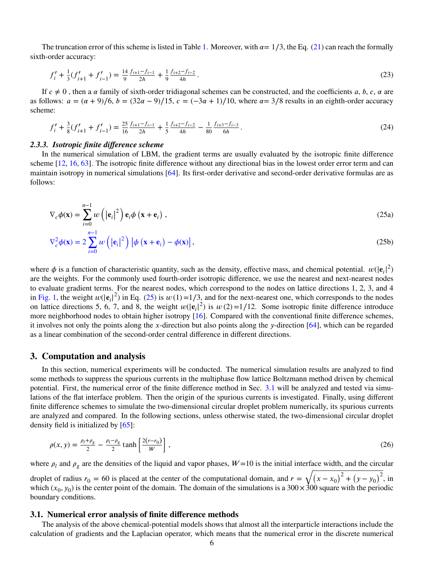The truncation error of this scheme is listed in Table [1.](#page-6-0) Moreover, with  $\alpha = 1/3$ , the Eq. [\(21\)](#page-4-1) can reach the formally sixth-order accuracy:

$$
f'_{i} + \frac{1}{3}(f'_{i+1} + f'_{i-1}) = \frac{14}{9} \frac{f_{i+1} - f_{i-1}}{2h} + \frac{1}{9} \frac{f_{i+2} - f_{i-2}}{4h}.
$$
\n(23)

If  $c \neq 0$ , then a  $\alpha$  family of sixth-order tridiagonal schemes can be constructed, and the coefficients  $a, b, c, \alpha$  are as follows:  $a = (\alpha + 9)/6$ ,  $b = (32\alpha - 9)/15$ ,  $c = (-3\alpha + 1)/10$ , where  $\alpha = 3/8$  results in an eighth-order accuracy scheme:

$$
f'_{i} + \frac{3}{8}(f'_{i+1} + f'_{i-1}) = \frac{25}{16}\frac{f_{i+1} - f_{i-1}}{2h} + \frac{1}{5}\frac{f_{i+2} - f_{i-2}}{4h} - \frac{1}{80}\frac{f_{i+3} - f_{i-3}}{6h}.
$$
 (24)

## *2.3.3. Isotropic finite difference scheme*

In the numerical simulation of LBM, the gradient terms are usually evaluated by the isotropic finite difference scheme [\[12,](#page-16-15) [16,](#page-16-4) [63\]](#page-18-6). The isotropic finite difference without any directional bias in the lowest order error term and can maintain isotropy in numerical simulations [\[64\]](#page-18-7). Its first-order derivative and second-order derivative formulas are as follows:

$$
\nabla_c \phi(\mathbf{x}) = \sum_{i=0}^{n-1} w\left(|\mathbf{e}_i|^2\right) \mathbf{e}_i \phi\left(\mathbf{x} + \mathbf{e}_i\right),
$$
\n(25a)

<span id="page-5-1"></span>
$$
\nabla_{c}^{2} \phi(\mathbf{x}) = 2 \sum_{i=0}^{n-1} w\left(\left|\mathbf{e}_{i}\right|^{2}\right) \left[\phi\left(\mathbf{x} + \mathbf{e}_{i}\right) - \phi(\mathbf{x})\right],\tag{25b}
$$

where  $\phi$  is a function of characteristic quantity, such as the density, effective mass, and chemical potential.  $w(|e_i|^2)$ are the weights. For the commonly used fourth-order isotropic difference, we use the nearest and next-nearest nodes to evaluate gradient terms. For the nearest nodes, which correspond to the nodes on lattice directions 1, 2, 3, and 4 in [Fig. 1,](#page-2-0) the weight  $w(|\mathbf{e}_i|^2)$  in Eq. [\(25\)](#page-5-1) is  $w(1)=1/3$ , and for the next-nearest one, which corresponds to the nodes on lattice directions 5, 6, 7, and 8, the weight  $w(|e_i|^2)$  is  $w(2)=1/12$ . Some isotropic finite difference introduce more neighborhood nodes to obtain higher isotropy [\[16\]](#page-16-4). Compared with the conventional finite difference schemes, it involves not only the points along the *𝑥*-direction but also points along the *𝑦*-direction [\[64\]](#page-18-7), which can be regarded as a linear combination of the second-order central difference in different directions.

#### <span id="page-5-0"></span>**3. Computation and analysis**

In this section, numerical experiments will be conducted. The numerical simulation results are analyzed to find some methods to suppress the spurious currents in the multiphase flow lattice Boltzmann method driven by chemical potential. First, the numerical error of the finite difference method in Sec. [3.1](#page-5-2) will be analyzed and tested via simulations of the flat interface problem. Then the origin of the spurious currents is investigated. Finally, using different finite difference schemes to simulate the two-dimensional circular droplet problem numerically, its spurious currents are analyzed and compared. In the following sections, unless otherwise stated, the two-dimensional circular droplet density field is initialized by [\[65\]](#page-18-8):

<span id="page-5-3"></span>
$$
\rho(x, y) = \frac{\rho_l + \rho_g}{2} - \frac{\rho_l - \rho_g}{2} \tanh\left[\frac{2(r - r_0)}{W}\right],
$$
\n(26)

where  $\rho_l$  and  $\rho_g$  are the densities of the liquid and vapor phases,  $W=10$  is the initial interface width, and the circular droplet of radius  $r_0 = 60$  is placed at the center of the computational domain, and  $r =$ √(  $(x - x_0)^2 + (y - y_0)^2$ , in which  $(x_0, y_0)$  is the center point of the domain. The domain of the simulations is a  $300 \times 300$  square with the periodic boundary conditions.

#### <span id="page-5-2"></span>**3.1. Numerical error analysis of finite difference methods**

The analysis of the above chemical-potential models shows that almost all the interparticle interactions include the calculation of gradients and the Laplacian operator, which means that the numerical error in the discrete numerical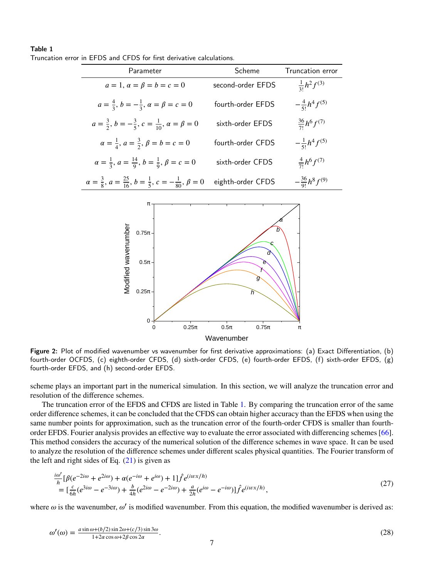#### <span id="page-6-0"></span>Table 1 Truncation error in EFDS and CFDS for first derivative calculations.

| Parameter                                                                                              | Scheme            | Truncation error           |  |
|--------------------------------------------------------------------------------------------------------|-------------------|----------------------------|--|
| $a = 1, \alpha = \beta = b = c = 0$                                                                    | second-order EFDS | $\frac{1}{3!}h^2f^{(3)}$   |  |
| $a=\frac{4}{3}, b=-\frac{1}{3}, \alpha=\beta=c=0$                                                      | fourth-order EFDS | $-\frac{4}{5!}h^4f^{(5)}$  |  |
| $a=\frac{3}{2}, b=-\frac{3}{5}, c=\frac{1}{10}, \alpha=\beta=0$                                        | sixth-order EFDS  | $\frac{36}{71}h^6f^{(7)}$  |  |
| $\alpha = \frac{1}{4}, \, a = \frac{3}{2}, \, \beta = b = c = 0$                                       | fourth-order CFDS | $-\frac{1}{5!}h^4f^{(5)}$  |  |
| $\alpha = \frac{1}{3}, \, a = \frac{14}{9}, \, b = \frac{1}{9}, \, \beta = c = 0$                      | sixth-order CFDS  | $\frac{4}{7!}h^6f^{(7)}$   |  |
| $\alpha = \frac{3}{8}, \alpha = \frac{25}{16}, \, b = \frac{1}{5}, \, c = -\frac{1}{80}, \, \beta = 0$ | eighth-order CFDS | $-\frac{36}{9!}h^8f^{(9)}$ |  |

<span id="page-6-1"></span>

Figure 2: Plot of modified wavenumber vs wavenumber for first derivative approximations: (a) Exact Differentiation, (b) fourth-order OCFDS, (c) eighth-order CFDS, (d) sixth-order CFDS, (e) fourth-order EFDS, (f) sixth-order EFDS, (g) fourth-order EFDS, and (h) second-order EFDS.

scheme plays an important part in the numerical simulation. In this section, we will analyze the truncation error and resolution of the difference schemes.

The truncation error of the EFDS and CFDS are listed in Table [1.](#page-6-0) By comparing the truncation error of the same order difference schemes, it can be concluded that the CFDS can obtain higher accuracy than the EFDS when using the same number points for approximation, such as the truncation error of the fourth-order CFDS is smaller than fourthorder EFDS. Fourier analysis provides an effective way to evaluate the error associated with differencing schemes [\[66\]](#page-18-9). This method considers the accuracy of the numerical solution of the difference schemes in wave space. It can be used to analyze the resolution of the difference schemes under different scales physical quantities. The Fourier transform of the left and right sides of Eq.  $(21)$  is given as

$$
\frac{i\omega'}{h}[\beta(e^{-2i\omega} + e^{2i\omega}) + \alpha(e^{-i\omega} + e^{i\omega}) + 1]\hat{f}e^{(i\omega x/h)} \n= [\frac{c}{6h}(e^{3i\omega} - e^{-3i\omega}) + \frac{b}{4h}(e^{2i\omega} - e^{-2i\omega}) + \frac{a}{2h}(e^{i\omega} - e^{-i\omega})]\hat{f}e^{(i\omega x/h)},
$$
\n(27)

where  $\omega$  is the wavenumber,  $\omega'$  is modified wavenumber. From this equation, the modified wavenumber is derived as:

$$
\omega'(\omega) = \frac{a \sin \omega + (b/2) \sin 2\omega + (c/3) \sin 3\omega}{1 + 2\alpha \cos \omega + 2\beta \cos 2\alpha}.
$$
\n(28)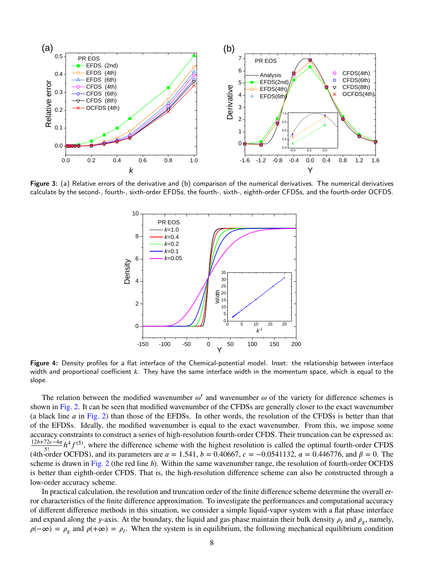<span id="page-7-0"></span>

<span id="page-7-1"></span>Figure 3: (a) Relative errors of the derivative and (b) comparison of the numerical derivatives. The numerical derivatives calculate by the second-, fourth-, sixth-order EFDSs, the fourth-, sixth-, eighth-order CFDSs, and the fourth-order OCFDS.



Figure 4: Density profiles for a flat interface of the Chemical-potential model. Inset: the relationship between interface width and proportional coefficient k. They have the same interface width in the momentum space, which is equal to the slope.

The relation between the modified wavenumber  $\omega'$  and wavenumber  $\omega$  of the variety for difference schemes is shown in [Fig. 2.](#page-6-1) It can be seen that modified wavenumber of the CFDSs are generally closer to the exact wavenumber (a black line *𝑎* in [Fig. 2\)](#page-6-1) than those of the EFDSs. In other words, the resolution of the CFDSs is better than that of the EFDSs. Ideally, the modified wavenumber is equal to the exact wavenumber. From this, we impose some accuracy constraints to construct a series of high-resolution fourth-order CFDS. Their truncation can be expressed as:  $\frac{12b+72c-4\alpha}{2b}h^4f^{(5)}$ , where the difference scheme with the highest resolution is called the optimal fourth-order CFDS (4th-order OCFDS), and its parameters are  $a = 1.541$ ,  $b = 0.40667$ ,  $c = -0.0541132$ ,  $\alpha = 0.446776$ , and  $\beta = 0$ . The scheme is drawn in [Fig. 2](#page-6-1) (the red line *b*). Within the same wavenumber range, the resolution of fourth-order OCFDS is better than eighth-order CFDS. That is, the high-resolution difference scheme can also be constructed through a low-order accuracy scheme.

In practical calculation, the resolution and truncation order of the finite difference scheme determine the overall error characteristics of the finite difference approximation. To investigate the performances and computational accuracy of different difference methods in this situation, we consider a simple liquid-vapor system with a flat phase interface and expand along the *y*-axis. At the boundary, the liquid and gas phase maintain their bulk density  $\rho_l$  and  $\rho_g$ , namely,  $\rho(-\infty) = \rho_g$  and  $\rho(+\infty) = \rho_l$ . When the system is in equilibrium, the following mechanical equilibrium condition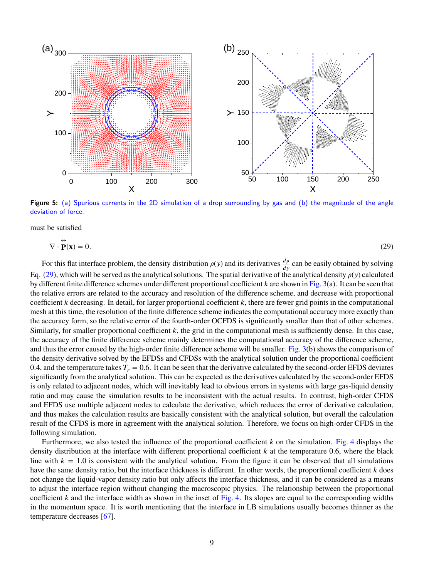<span id="page-8-0"></span>

Figure 5: (a) Spurious currents in the 2D simulation of a drop surrounding by gas and (b) the magnitude of the angle deviation of force.

must be satisfied

<span id="page-8-1"></span>
$$
\nabla \cdot \mathbf{P}(\mathbf{x}) = 0. \tag{29}
$$

For this flat interface problem, the density distribution  $\rho(y)$  and its derivatives  $\frac{d\rho}{dy}$  can be easily obtained by solving Eq. [\(29\)](#page-8-1), which will be served as the analytical solutions. The spatial derivative of the analytical density  $\rho(y)$  calculated by different finite difference schemes under different proportional coefficient  $k$  are shown in [Fig. 3\(](#page-7-0)a). It can be seen that the relative errors are related to the accuracy and resolution of the difference scheme, and decrease with proportional coefficient *k* decreasing. In detail, for larger proportional coefficient *k*, there are fewer grid points in the computational mesh at this time, the resolution of the finite difference scheme indicates the computational accuracy more exactly than the accuracy form, so the relative error of the fourth-order OCFDS is significantly smaller than that of other schemes. Similarly, for smaller proportional coefficient *k*, the grid in the computational mesh is sufficiently dense. In this case, the accuracy of the finite difference scheme mainly determines the computational accuracy of the difference scheme, and thus the error caused by the high-order finite difference scheme will be smaller. [Fig. 3\(](#page-7-0)b) shows the comparison of the density derivative solved by the EFDSs and CFDSs with the analytical solution under the proportional coefficient 0.4, and the temperature takes  $T_r = 0.6$ . It can be seen that the derivative calculated by the second-order EFDS deviates significantly from the analytical solution. This can be expected as the derivatives calculated by the second-order EFDS is only related to adjacent nodes, which will inevitably lead to obvious errors in systems with large gas-liquid density ratio and may cause the simulation results to be inconsistent with the actual results. In contrast, high-order CFDS and EFDS use multiple adjacent nodes to calculate the derivative, which reduces the error of derivative calculation, and thus makes the calculation results are basically consistent with the analytical solution, but overall the calculation result of the CFDS is more in agreement with the analytical solution. Therefore, we focus on high-order CFDS in the following simulation.

Furthermore, we also tested the influence of the proportional coefficient  $k$  on the simulation. [Fig. 4](#page-7-1) displays the density distribution at the interface with different proportional coefficient  $k$  at the temperature 0.6, where the black line with  $k = 1.0$  is consistent with the analytical solution. From the figure it can be observed that all simulations have the same density ratio, but the interface thickness is different. In other words, the proportional coefficient *k* does not change the liquid-vapor density ratio but only affects the interface thickness, and it can be considered as a means to adjust the interface region without changing the macroscopic physics. The relationship between the proportional coefficient  $k$  and the interface width as shown in the inset of [Fig. 4.](#page-7-1) Its slopes are equal to the corresponding widths in the momentum space. It is worth mentioning that the interface in LB simulations usually becomes thinner as the temperature decreases [\[67\]](#page-18-10).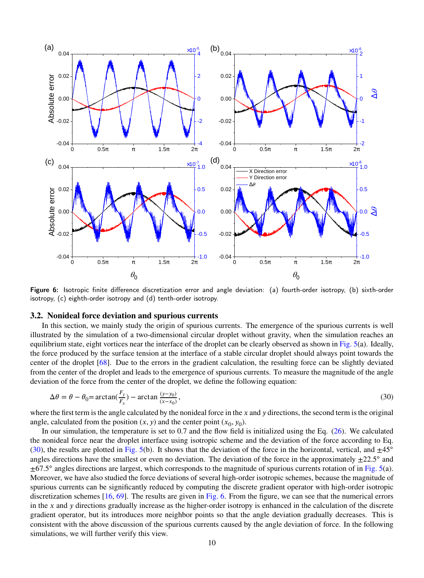<span id="page-9-1"></span>

Figure 6: Isotropic finite difference discretization error and angle deviation: (a) fourth-order isotropy, (b) sixth-order isotropy, (c) eighth-order isotropy and (d) tenth-order isotropy.

## **3.2. Nonideal force deviation and spurious currents**

In this section, we mainly study the origin of spurious currents. The emergence of the spurious currents is well illustrated by the simulation of a two-dimensional circular droplet without gravity, when the simulation reaches an equilibrium state, eight vortices near the interface of the droplet can be clearly observed as shown in [Fig. 5\(](#page-8-0)a). Ideally, the force produced by the surface tension at the interface of a stable circular droplet should always point towards the center of the droplet [\[68\]](#page-18-11). Due to the errors in the gradient calculation, the resulting force can be slightly deviated from the center of the droplet and leads to the emergence of spurious currents. To measure the magnitude of the angle deviation of the force from the center of the droplet, we define the following equation:

<span id="page-9-0"></span>
$$
\Delta \theta = \theta - \theta_0 = \arctan(\frac{F_y}{F_x}) - \arctan\frac{(y - y_0)}{(x - x_0)},
$$
\n(30)

where the first term is the angle calculated by the nonideal force in the *x* and *y* directions, the second term is the original angle, calculated from the position  $(x, y)$  and the center point  $(x_0, y_0)$ .

In our simulation, the temperature is set to 0.7 and the flow field is initialized using the Eq. [\(26\)](#page-5-3). We calculated the nonideal force near the droplet interface using isotropic scheme and the deviation of the force according to Eq. [\(30\)](#page-9-0), the results are plotted in [Fig. 5\(](#page-8-0)b). It shows that the deviation of the force in the horizontal, vertical, and  $\pm 45^\circ$ angles directions have the smallest or even no deviation. The deviation of the force in the approximately  $\pm 22.5^{\circ}$  and  $\pm$ 67.5° angles directions are largest, which corresponds to the magnitude of spurious currents rotation of in [Fig. 5\(](#page-8-0)a). Moreover, we have also studied the force deviations of several high-order isotropic schemes, because the magnitude of spurious currents can be significantly reduced by computing the discrete gradient operator with high-order isotropic discretization schemes [\[16,](#page-16-4) [69\]](#page-18-12). The results are given in [Fig. 6.](#page-9-1) From the figure, we can see that the numerical errors in the *x* and *y* directions gradually increase as the higher-order isotropy is enhanced in the calculation of the discrete gradient operator, but its introduces more neighbor points so that the angle deviation gradually decreases. This is consistent with the above discussion of the spurious currents caused by the angle deviation of force. In the following simulations, we will further verify this view.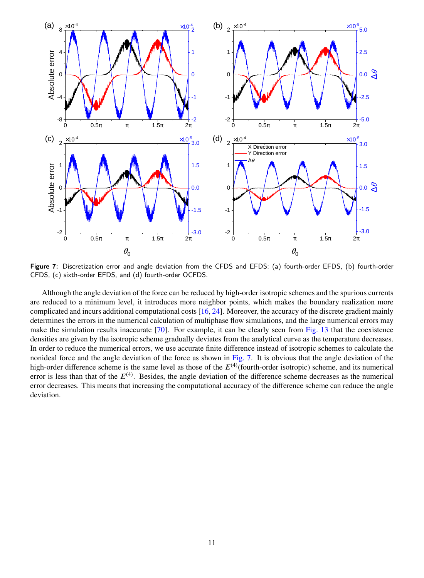<span id="page-10-0"></span>

Figure 7: Discretization error and angle deviation from the CFDS and EFDS: (a) fourth-order EFDS, (b) fourth-order CFDS, (c) sixth-order EFDS, and (d) fourth-order OCFDS.

Although the angle deviation of the force can be reduced by high-order isotropic schemes and the spurious currents are reduced to a minimum level, it introduces more neighbor points, which makes the boundary realization more complicated and incurs additional computational costs [\[16,](#page-16-4) [24\]](#page-17-0). Moreover, the accuracy of the discrete gradient mainly determines the errors in the numerical calculation of multiphase flow simulations, and the large numerical errors may make the simulation results inaccurate [\[70\]](#page-18-13). For example, it can be clearly seen from [Fig. 13](#page-15-0) that the coexistence densities are given by the isotropic scheme gradually deviates from the analytical curve as the temperature decreases. In order to reduce the numerical errors, we use accurate finite difference instead of isotropic schemes to calculate the nonideal force and the angle deviation of the force as shown in [Fig. 7.](#page-10-0) It is obvious that the angle deviation of the high-order difference scheme is the same level as those of the  $E^{(4)}$ (fourth-order isotropic) scheme, and its numerical error is less than that of the  $E^{(4)}$ . Besides, the angle deviation of the difference scheme decreases as the numerical error decreases. This means that increasing the computational accuracy of the difference scheme can reduce the angle deviation.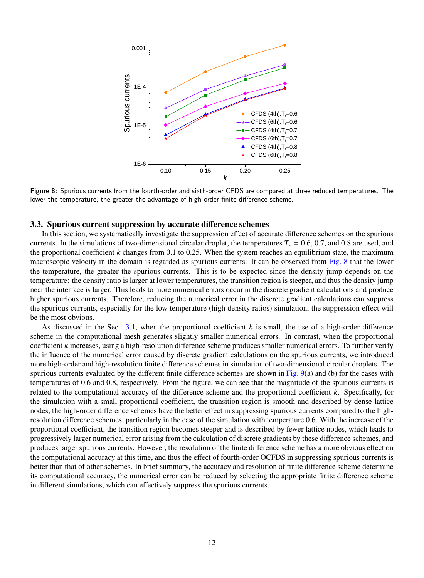<span id="page-11-0"></span>

Figure 8: Spurious currents from the fourth-order and sixth-order CFDS are compared at three reduced temperatures. The lower the temperature, the greater the advantage of high-order finite difference scheme.

#### **3.3. Spurious current suppression by accurate difference schemes**

In this section, we systematically investigate the suppression effect of accurate difference schemes on the spurious currents. In the simulations of two-dimensional circular droplet, the temperatures  $T_r = 0.6, 0.7$ , and 0.8 are used, and the proportional coefficient *k* changes from 0.1 to 0.25. When the system reaches an equilibrium state, the maximum macroscopic velocity in the domain is regarded as spurious currents. It can be observed from [Fig. 8](#page-11-0) that the lower the temperature, the greater the spurious currents. This is to be expected since the density jump depends on the temperature: the density ratio is larger at lower temperatures, the transition region is steeper, and thus the density jump near the interface is larger. This leads to more numerical errors occur in the discrete gradient calculations and produce higher spurious currents. Therefore, reducing the numerical error in the discrete gradient calculations can suppress the spurious currents, especially for the low temperature (high density ratios) simulation, the suppression effect will be the most obvious.

As discussed in the Sec.  $3.1$ , when the proportional coefficient *k* is small, the use of a high-order difference scheme in the computational mesh generates slightly smaller numerical errors. In contrast, when the proportional coefficient *k* increases, using a high-resolution difference scheme produces smaller numerical errors. To further verify the influence of the numerical error caused by discrete gradient calculations on the spurious currents, we introduced more high-order and high-resolution finite difference schemes in simulation of two-dimensional circular droplets. The spurious currents evaluated by the different finite difference schemes are shown in Fig.  $9(a)$  and (b) for the cases with temperatures of 0.6 and 0.8, respectively. From the figure, we can see that the magnitude of the spurious currents is related to the computational accuracy of the difference scheme and the proportional coefficient *k*. Specifically, for the simulation with a small proportional coefficient, the transition region is smooth and described by dense lattice nodes, the high-order difference schemes have the better effect in suppressing spurious currents compared to the highresolution difference schemes, particularly in the case of the simulation with temperature 0.6. With the increase of the proportional coefficient, the transition region becomes steeper and is described by fewer lattice nodes, which leads to progressively larger numerical error arising from the calculation of discrete gradients by these difference schemes, and produces larger spurious currents. However, the resolution of the finite difference scheme has a more obvious effect on the computational accuracy at this time, and thus the effect of fourth-order OCFDS in suppressing spurious currents is better than that of other schemes. In brief summary, the accuracy and resolution of finite difference scheme determine its computational accuracy, the numerical error can be reduced by selecting the appropriate finite difference scheme in different simulations, which can effectively suppress the spurious currents.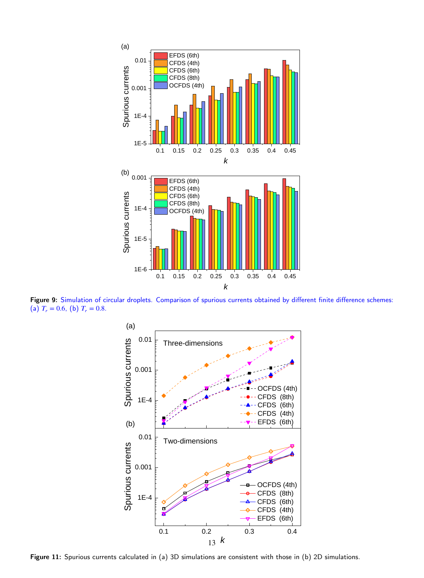<span id="page-12-0"></span>

Figure 9: Simulation of circular droplets. Comparison of spurious currents obtained by different finite difference schemes: (a)  $T_r = 0.6$ , (b)  $T_r = 0.8$ .



Figure 11: Spurious currents calculated in (a) 3D simulations are consistent with those in (b) 2D simulations.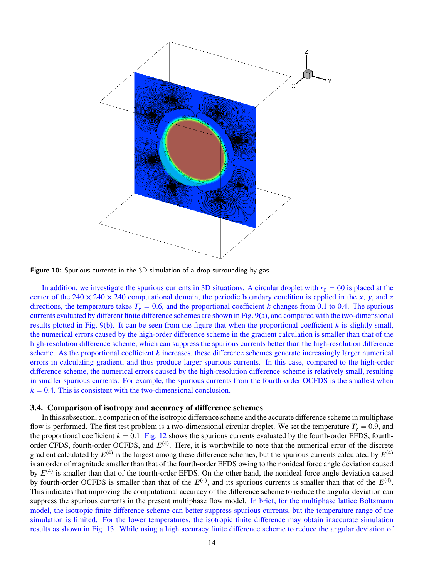

Figure 10: Spurious currents in the 3D simulation of a drop surrounding by gas.

In addition, we investigate the spurious currents in 3D situations. A circular droplet with  $r_0 = 60$  is placed at the center of the  $240 \times 240 \times 240$  computational domain, the periodic boundary condition is applied in the *x*, *y*, and *z* directions, the temperature takes  $T_r = 0.6$ , and the proportional coefficient *k* changes from 0.1 to 0.4. The spurious currents evaluated by different finite difference schemes are shown in [Fig. 9\(](#page-12-0)a), and compared with the two-dimensional results plotted in Fig.  $9(b)$ . It can be seen from the figure that when the proportional coefficient  $k$  is slightly small, the numerical errors caused by the high-order difference scheme in the gradient calculation is smaller than that of the high-resolution difference scheme, which can suppress the spurious currents better than the high-resolution difference scheme. As the proportional coefficient  $k$  increases, these difference schemes generate increasingly larger numerical errors in calculating gradient, and thus produce larger spurious currents. In this case, compared to the high-order difference scheme, the numerical errors caused by the high-resolution difference scheme is relatively small, resulting in smaller spurious currents. For example, the spurious currents from the fourth-order OCFDS is the smallest when  $k = 0.4$ . This is consistent with the two-dimensional conclusion.

## **3.4. Comparison of isotropy and accuracy of difference schemes**

In this subsection, a comparison of the isotropic difference scheme and the accurate difference scheme in multiphase flow is performed. The first test problem is a two-dimensional circular droplet. We set the temperature  $T<sub>r</sub> = 0.9$ , and the proportional coefficient  $k = 0.1$ . [Fig. 12](#page-14-1) shows the spurious currents evaluated by the fourth-order EFDS, fourthorder CFDS, fourth-order OCFDS, and  $E^{(4)}$ . Here, it is worthwhile to note that the numerical error of the discrete gradient calculated by  $E^{(4)}$  is the largest among these difference schemes, but the spurious currents calculated by  $E^{(4)}$ is an order of magnitude smaller than that of the fourth-order EFDS owing to the nonideal force angle deviation caused by  $E^{(4)}$  is smaller than that of the fourth-order EFDS. On the other hand, the nonideal force angle deviation caused by fourth-order OCFDS is smaller than that of the  $E^{(4)}$ , and its spurious currents is smaller than that of the  $E^{(4)}$ . This indicates that improving the computational accuracy of the difference scheme to reduce the angular deviation can suppress the spurious currents in the present multiphase flow model. In brief, for the multiphase lattice Boltzmann model, the isotropic finite difference scheme can better suppress spurious currents, but the temperature range of the simulation is limited. For the lower temperatures, the isotropic finite difference may obtain inaccurate simulation results as shown in [Fig. 13.](#page-15-0) While using a high accuracy finite difference scheme to reduce the angular deviation of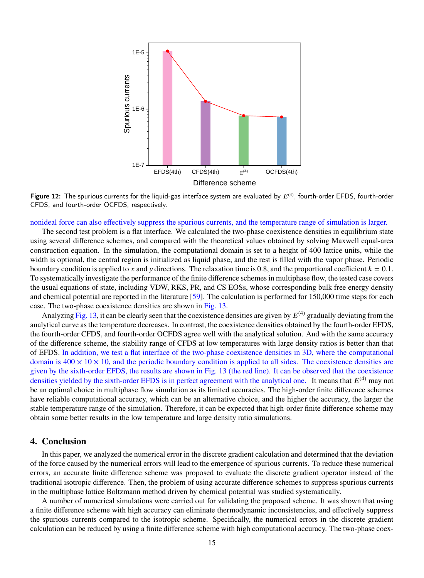<span id="page-14-1"></span>

Figure 12: The spurious currents for the liquid-gas interface system are evaluated by  $E^{(4)}$ , fourth-order EFDS, fourth-order CFDS, and fourth-order OCFDS, respectively.

#### nonideal force can also effectively suppress the spurious currents, and the temperature range of simulation is larger.

The second test problem is a flat interface. We calculated the two-phase coexistence densities in equilibrium state using several difference schemes, and compared with the theoretical values obtained by solving Maxwell equal-area construction equation. In the simulation, the computational domain is set to a height of 400 lattice units, while the width is optional, the central region is initialized as liquid phase, and the rest is filled with the vapor phase. Periodic boundary condition is applied to x and y directions. The relaxation time is 0.8, and the proportional coefficient  $k = 0.1$ . To systematically investigate the performance of the finite difference schemes in multiphase flow, the tested case covers the usual equations of state, including VDW, RKS, PR, and CS EOSs, whose corresponding bulk free energy density and chemical potential are reported in the literature [\[59\]](#page-18-2). The calculation is performed for 150,000 time steps for each case. The two-phase coexistence densities are shown in [Fig. 13.](#page-15-0)

Analyzing [Fig. 13,](#page-15-0) it can be clearly seen that the coexistence densities are given by  $E^{(4)}$  gradually deviating from the analytical curve as the temperature decreases. In contrast, the coexistence densities obtained by the fourth-order EFDS, the fourth-order CFDS, and fourth-order OCFDS agree well with the analytical solution. And with the same accuracy of the difference scheme, the stability range of CFDS at low temperatures with large density ratios is better than that of EFDS. In addition, we test a flat interface of the two-phase coexistence densities in 3D, where the computational domain is  $400 \times 10 \times 10$ , and the periodic boundary condition is applied to all sides. The coexistence densities are given by the sixth-order EFDS, the results are shown in [Fig. 13](#page-15-0) (the red line). It can be observed that the coexistence densities yielded by the sixth-order EFDS is in perfect agreement with the analytical one. It means that  $E^{(4)}$  may not be an optimal choice in multiphase flow simulation as its limited accuracies. The high-order finite difference schemes have reliable computational accuracy, which can be an alternative choice, and the higher the accuracy, the larger the stable temperature range of the simulation. Therefore, it can be expected that high-order finite difference scheme may obtain some better results in the low temperature and large density ratio simulations.

# <span id="page-14-0"></span>**4. Conclusion**

In this paper, we analyzed the numerical error in the discrete gradient calculation and determined that the deviation of the force caused by the numerical errors will lead to the emergence of spurious currents. To reduce these numerical errors, an accurate finite difference scheme was proposed to evaluate the discrete gradient operator instead of the traditional isotropic difference. Then, the problem of using accurate difference schemes to suppress spurious currents in the multiphase lattice Boltzmann method driven by chemical potential was studied systematically.

A number of numerical simulations were carried out for validating the proposed scheme. It was shown that using a finite difference scheme with high accuracy can eliminate thermodynamic inconsistencies, and effectively suppress the spurious currents compared to the isotropic scheme. Specifically, the numerical errors in the discrete gradient calculation can be reduced by using a finite difference scheme with high computational accuracy. The two-phase coex-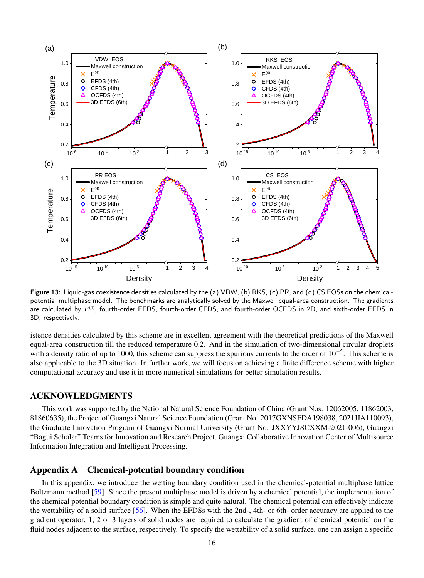<span id="page-15-0"></span>

Figure 13: Liquid-gas coexistence densities calculated by the (a) VDW, (b) RKS, (c) PR, and (d) CS EOSs on the chemicalpotential multiphase model. The benchmarks are analytically solved by the Maxwell equal-area construction. The gradients are calculated by  $E^{(4)}$ , fourth-order EFDS, fourth-order CFDS, and fourth-order OCFDS in 2D, and sixth-order EFDS in 3D, respectively.

istence densities calculated by this scheme are in excellent agreement with the theoretical predictions of the Maxwell equal-area construction till the reduced temperature 0.2. And in the simulation of two-dimensional circular droplets with a density ratio of up to 1000, this scheme can suppress the spurious currents to the order of  $10^{-5}$ . This scheme is also applicable to the 3D situation. In further work, we will focus on achieving a finite difference scheme with higher computational accuracy and use it in more numerical simulations for better simulation results.

# **ACKNOWLEDGMENTS**

This work was supported by the National Natural Science Foundation of China (Grant Nos. 12062005, 11862003, 81860635), the Project of Guangxi Natural Science Foundation (Grant No. 2017GXNSFDA198038, 2021JJA110093), the Graduate Innovation Program of Guangxi Normal University (Grant No. JXXYYJSCXXM-2021-006), Guangxi "Bagui Scholar" Teams for Innovation and Research Project, Guangxi Collaborative Innovation Center of Multisource Information Integration and Intelligent Processing.

# **Appendix A Chemical-potential boundary condition**

In this appendix, we introduce the wetting boundary condition used in the chemical-potential multiphase lattice Boltzmann method [\[59\]](#page-18-2). Since the present multiphase model is driven by a chemical potential, the implementation of the chemical potential boundary condition is simple and quite natural. The chemical potential can effectively indicate the wettability of a solid surface [\[56\]](#page-17-29). When the EFDSs with the 2nd-, 4th- or 6th- order accuracy are applied to the gradient operator, 1, 2 or 3 layers of solid nodes are required to calculate the gradient of chemical potential on the fluid nodes adjacent to the surface, respectively. To specify the wettability of a solid surface, one can assign a specific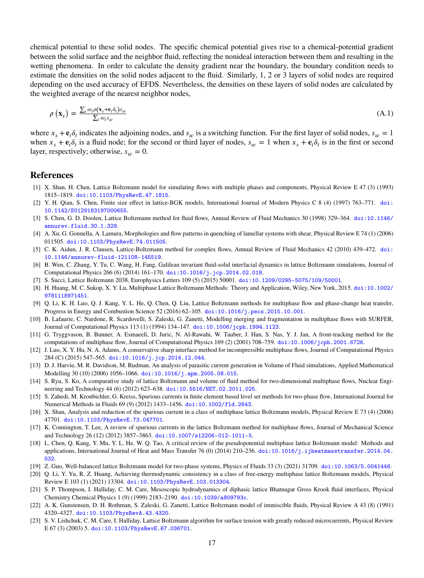chemical potential to these solid nodes. The specific chemical potential gives rise to a chemical-potential gradient between the solid surface and the neighbor fluid, reflecting the nonideal interaction between them and resulting in the wetting phenomena. In order to calculate the density gradient near the boundary, the boundary condition needs to estimate the densities on the solid nodes adjacent to the fluid. Similarly, 1, 2 or 3 layers of solid nodes are required depending on the used accuracy of EFDS. Nevertheless, the densities on these layers of solid nodes are calculated by the weighted average of the nearest neighbor nodes,

$$
\rho\left(\mathbf{x}_{s}\right) = \frac{\sum_{i} \omega_{i} \rho(\mathbf{x}_{s} + \mathbf{e}_{i} \delta_{t}) s_{w}}{\sum_{i} \omega_{i} s_{w}}
$$
\n(A.1)

where  $x_s + \mathbf{e}_i \delta_t$  indicates the adjoining nodes, and  $s_w$  is a switching function. For the first layer of solid nodes,  $s_w = 1$ when  $x_s + e_i \delta_t$  is a fluid node; for the second or third layer of nodes,  $s_w = 1$  when  $x_s + e_i \delta_t$  is in the first or second layer, respectively; otherwise,  $s_w = 0$ .

# **References**

- <span id="page-16-0"></span>[1] X. Shan, H. Chen, Lattice Boltzmann model for simulating flows with multiple phases and components, Physical Review E 47 (3) (1993) 1815–1819. [doi:10.1103/PhysRevE.47.1815](http://dx.doi.org/10.1103/PhysRevE.47.1815).
- [2] Y. H. Qian, S. Chen, Finite size effect in lattice-BGK models, International Journal of Modern Physics C 8 (4) (1997) 763–771. [doi:](http://dx.doi.org/10.1142/S0129183197000655) [10.1142/S0129183197000655](http://dx.doi.org/10.1142/S0129183197000655).
- <span id="page-16-11"></span>[3] S. Chen, G. D. Doolen, Lattice Boltzmann method for fluid flows, Annual Review of Fluid Mechanics 30 (1998) 329–364. [doi:10.1146/](http://dx.doi.org/10.1146/annurev.fluid.30.1.329) [annurev.fluid.30.1.329](http://dx.doi.org/10.1146/annurev.fluid.30.1.329).
- [4] A. Xu, G. Gonnella, A. Lamura, Morphologies and flow patterns in quenching of lamellar systems with shear, Physical Review E 74 (1) (2006) 011505. [doi:10.1103/PhysRevE.74.011505](http://dx.doi.org/10.1103/PhysRevE.74.011505).
- <span id="page-16-12"></span>[5] C. K. Aidun, J. R. Clausen, Lattice-Boltzmann method for complex flows, Annual Review of Fluid Mechanics 42 (2010) 439–472. [doi:](http://dx.doi.org/10.1146/annurev-fluid-121108-145519) [10.1146/annurev-fluid-121108-145519](http://dx.doi.org/10.1146/annurev-fluid-121108-145519).
- [6] B. Wen, C. Zhang, Y. Tu, C. Wang, H. Fang, Galilean invariant fluid-solid interfacial dynamics in lattice Boltzmann simulations, Journal of Computational Physics 266 (6) (2014) 161–170. [doi:10.1016/j.jcp.2014.02.018](http://dx.doi.org/10.1016/j.jcp.2014.02.018).
- <span id="page-16-13"></span>[7] S. Succi, Lattice Boltzmann 2038, Europhysics Letters 109 (5) (2015) 50001. [doi:10.1209/0295-5075/109/50001](http://dx.doi.org/10.1209/0295-5075/109/50001).
- [8] H. Huang, M. C. Sukop, X. Y. Lu, Multiphase Lattice Boltzmann Methods: Theory and Application, Wiley, New York, 2015. [doi:10.1002/](http://dx.doi.org/10.1002/9781118971451) [9781118971451](http://dx.doi.org/10.1002/9781118971451).
- <span id="page-16-1"></span>[9] Q. Li, K. H. Luo, Q. J. Kang, Y. L. He, Q. Chen, Q. Liu, Lattice Boltzmann methods for multiphase flow and phase-change heat transfer, Progress in Energy and Combustion Science 52 (2016) 62–105. [doi:10.1016/j.pecs.2015.10.001](http://dx.doi.org/10.1016/j.pecs.2015.10.001).
- <span id="page-16-2"></span>[10] B. Lafaurie, C. Nardone, R. Scardovelli, S. Zaleski, G. Zanetti, Modelling merging and fragmentation in multiphase flows with SURFER, Journal of Computational Physics 113 (1) (1994) 134–147. [doi:10.1006/jcph.1994.1123](http://dx.doi.org/10.1006/jcph.1994.1123).
- [11] G. Tryggvason, B. Bunner, A. Esmaeeli, D. Juric, N. Al-Rawahi, W. Tauber, J. Han, S. Nas, Y. J. Jan, A front-tracking method for the computations of multiphase flow, Journal of Computational Physics 169 (2) (2001) 708–759. [doi:10.1006/jcph.2001.6726](http://dx.doi.org/10.1006/jcph.2001.6726).
- <span id="page-16-15"></span>[12] J. Luo, X. Y. Hu, N. A. Adams, A conservative sharp interface method for incompressible multiphase flows, Journal of Computational Physics 284 (C) (2015) 547–565. [doi:10.1016/j.jcp.2014.12.044](http://dx.doi.org/10.1016/j.jcp.2014.12.044).
- [13] D. J. Harvie, M. R. Davidson, M. Rudman, An analysis of parasitic current generation in Volume of Fluid simulations, Applied Mathematical Modelling 30 (10) (2006) 1056–1066. [doi:10.1016/j.apm.2005.08.015](http://dx.doi.org/10.1016/j.apm.2005.08.015).
- [14] S. Ryu, S. Ko, A comparative study of lattice Boltzmann and volume of fluid method for two-dimensional multiphase flows, Nuclear Engineering and Technology 44 (6) (2012) 623–638. [doi:10.5516/NET.02.2011.025](http://dx.doi.org/10.5516/NET.02.2011.025).
- <span id="page-16-3"></span>[15] S. Zahedi, M. Kronbichler, G. Kreiss, Spurious currents in finite element based level set methods for two-phase flow, International Journal for Numerical Methods in Fluids 69 (9) (2012) 1433–1456. [doi:10.1002/fld.2643](http://dx.doi.org/10.1002/fld.2643).
- <span id="page-16-4"></span>[16] X. Shan, Analysis and reduction of the spurious current in a class of multiphase lattice Boltzmann models, Physical Review E 73 (4) (2006) 47701. [doi:10.1103/PhysRevE.73.047701](http://dx.doi.org/10.1103/PhysRevE.73.047701).
- <span id="page-16-5"></span>[17] K. Connington, T. Lee, A review of spurious currents in the lattice Boltzmann method for multiphase flows, Journal of Mechanical Science and Technology 26 (12) (2012) 3857–3863. [doi:10.1007/s12206-012-1011-5](http://dx.doi.org/10.1007/s12206-012-1011-5).
- <span id="page-16-14"></span>[18] L. Chen, Q. Kang, Y. Mu, Y. L. He, W. Q. Tao, A critical review of the pseudopotential multiphase lattice Boltzmann model: Methods and applications, International Journal of Heat and Mass Transfer 76 (0) (2014) 210–236. [doi:10.1016/j.ijheatmasstransfer.2014.04.](http://dx.doi.org/10.1016/j.ijheatmasstransfer.2014.04.032) [032](http://dx.doi.org/10.1016/j.ijheatmasstransfer.2014.04.032).
- <span id="page-16-10"></span>[19] Z. Guo, Well-balanced lattice Boltzmann model for two-phase systems, Physics of Fluids 33 (3) (2021) 31709. [doi:10.1063/5.0041446](http://dx.doi.org/10.1063/5.0041446).
- <span id="page-16-6"></span>[20] Q. Li, Y. Yu, R. Z. Huang, Achieving thermodynamic consistency in a class of free-energy multiphase lattice Boltzmann models, Physical Review E 103 (1) (2021) 13304. [doi:10.1103/PhysRevE.103.013304](http://dx.doi.org/10.1103/PhysRevE.103.013304).
- <span id="page-16-7"></span>[21] S. P. Thompson, I. Halliday, C. M. Care, Mesoscopic hydrodynamics of diphasic lattice Bhatnagar Gross Krook fluid interfaces, Physical Chemistry Chemical Physics 1 (9) (1999) 2183–2190. [doi:10.1039/a809793c](http://dx.doi.org/10.1039/a809793c).
- <span id="page-16-8"></span>[22] A. K. Gunstensen, D. H. Rothman, S. Zaleski, G. Zanetti, Lattice Boltzmann model of immiscible fluids, Physical Review A 43 (8) (1991) 4320–4327. [doi:10.1103/PhysRevA.43.4320](http://dx.doi.org/10.1103/PhysRevA.43.4320).
- <span id="page-16-9"></span>[23] S. V. Lishchuk, C. M. Care, I. Halliday, Lattice Boltzmann algorithm for surface tension with greatly reduced microcurrents, Physical Review E 67 (3) (2003) 5. [doi:10.1103/PhysRevE.67.036701](http://dx.doi.org/10.1103/PhysRevE.67.036701).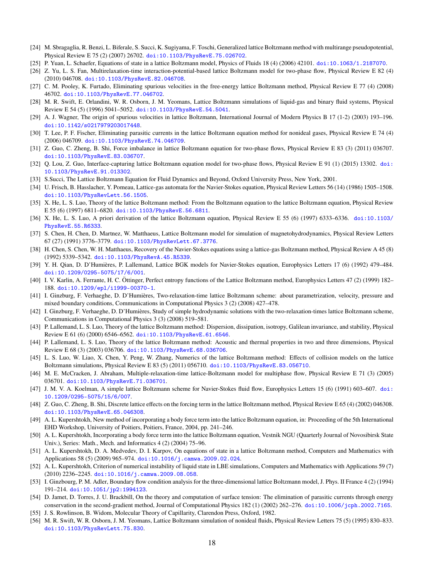- <span id="page-17-0"></span>[24] M. Sbragaglia, R. Benzi, L. Biferale, S. Succi, K. Sugiyama, F. Toschi, Generalized lattice Boltzmann method with multirange pseudopotential, Physical Review E 75 (2) (2007) 26702. [doi:10.1103/PhysRevE.75.026702](http://dx.doi.org/10.1103/PhysRevE.75.026702).
- <span id="page-17-1"></span>[25] P. Yuan, L. Schaefer, Equations of state in a lattice Boltzmann model, Physics of Fluids 18 (4) (2006) 42101. [doi:10.1063/1.2187070](http://dx.doi.org/10.1063/1.2187070).
- <span id="page-17-2"></span>[26] Z. Yu, L. S. Fan, Multirelaxation-time interaction-potential-based lattice Boltzmann model for two-phase flow, Physical Review E 82 (4) (2010) 046708. [doi:10.1103/PhysRevE.82.046708](http://dx.doi.org/10.1103/PhysRevE.82.046708).
- <span id="page-17-3"></span>[27] C. M. Pooley, K. Furtado, Eliminating spurious velocities in the free-energy lattice Boltzmann method, Physical Review E 77 (4) (2008) 46702. [doi:10.1103/PhysRevE.77.046702](http://dx.doi.org/10.1103/PhysRevE.77.046702).
- <span id="page-17-4"></span>[28] M. R. Swift, E. Orlandini, W. R. Osborn, J. M. Yeomans, Lattice Boltzmann simulations of liquid-gas and binary fluid systems, Physical Review E 54 (5) (1996) 5041–5052. [doi:10.1103/PhysRevE.54.5041](http://dx.doi.org/10.1103/PhysRevE.54.5041).
- <span id="page-17-5"></span>[29] A. J. Wagner, The origin of spurious velocities in lattice Boltzmann, International Journal of Modern Physics B 17 (1-2) (2003) 193–196. [doi:10.1142/s0217979203017448](http://dx.doi.org/10.1142/s0217979203017448).
- <span id="page-17-6"></span>[30] T. Lee, P. F. Fischer, Eliminating parasitic currents in the lattice Boltzmann equation method for nonideal gases, Physical Review E 74 (4) (2006) 046709. [doi:10.1103/PhysRevE.74.046709](http://dx.doi.org/10.1103/PhysRevE.74.046709).
- <span id="page-17-7"></span>[31] Z. Guo, C. Zheng, B. Shi, Force imbalance in lattice Boltzmann equation for two-phase flows, Physical Review E 83 (3) (2011) 036707. [doi:10.1103/PhysRevE.83.036707](http://dx.doi.org/10.1103/PhysRevE.83.036707).
- <span id="page-17-8"></span>[32] Q. Lou, Z. Guo, Interface-capturing lattice Boltzmann equation model for two-phase flows, Physical Review E 91 (1) (2015) 13302. [doi:](http://dx.doi.org/10.1103/PhysRevE.91.013302) [10.1103/PhysRevE.91.013302](http://dx.doi.org/10.1103/PhysRevE.91.013302).
- <span id="page-17-9"></span>[33] S.Succi, The Lattice Boltzmann Equation for Fluid Dynamics and Beyond, Oxford University Press, New York, 2001.
- <span id="page-17-10"></span>[34] U. Frisch, B. Hasslacher, Y. Pomeau, Lattice-gas automata for the Navier-Stokes equation, Physical Review Letters 56 (14) (1986) 1505–1508. [doi:10.1103/PhysRevLett.56.1505](http://dx.doi.org/10.1103/PhysRevLett.56.1505).
- <span id="page-17-11"></span>[35] X. He, L. S. Luo, Theory of the lattice Boltzmann method: From the Boltzmann equation to the lattice Boltzmann equation, Physical Review E 55 (6) (1997) 6811–6820. [doi:10.1103/PhysRevE.56.6811](http://dx.doi.org/10.1103/PhysRevE.56.6811).
- <span id="page-17-12"></span>[36] X. He, L. S. Luo, A priori derivation of the lattice Boltzmann equation, Physical Review E 55 (6) (1997) 6333–6336. [doi:10.1103/](http://dx.doi.org/10.1103/PhysRevE.55.R6333) [PhysRevE.55.R6333](http://dx.doi.org/10.1103/PhysRevE.55.R6333).
- <span id="page-17-13"></span>[37] S. Chen, H. Chen, D. Martnez, W. Matthaeus, Lattice Boltzmann model for simulation of magnetohydrodynamics, Physical Review Letters 67 (27) (1991) 3776–3779. [doi:10.1103/PhysRevLett.67.3776](http://dx.doi.org/10.1103/PhysRevLett.67.3776).
- [38] H. Chen, S. Chen, W. H. Matthaeus, Recovery of the Navier-Stokes equations using a lattice-gas Boltzmann method, Physical Review A 45 (8) (1992) 5339–5342. [doi:10.1103/PhysRevA.45.R5339](http://dx.doi.org/10.1103/PhysRevA.45.R5339).
- <span id="page-17-14"></span>[39] Y. H. Qian, D. D'Humières, P. Lallemand, Lattice BGK models for Navier-Stokes equation, Europhysics Letters 17 (6) (1992) 479–484. [doi:10.1209/0295-5075/17/6/001](http://dx.doi.org/10.1209/0295-5075/17/6/001).
- <span id="page-17-15"></span>[40] I. V. Karlin, A. Ferrante, H. C. Öttinger, Perfect entropy functions of the Lattice Boltzmann method, Europhysics Letters 47 (2) (1999) 182– 188. [doi:10.1209/epl/i1999-00370-1](http://dx.doi.org/10.1209/epl/i1999-00370-1).
- <span id="page-17-16"></span>[41] I. Ginzburg, F. Verhaeghe, D. D'Humières, Two-relaxation-time lattice Boltzmann scheme: about parametrization, velocity, pressure and mixed boundary conditions, Communications in Computational Physics 3 (2) (2008) 427–478.
- <span id="page-17-17"></span>[42] I. Ginzburg, F. Verhaeghe, D. D'Humières, Study of simple hydrodynamic solutions with the two-relaxation-times lattice Boltzmann scheme, Communications in Computational Physics 3 (3) (2008) 519–581.
- <span id="page-17-18"></span>[43] P. Lallemand, L. S. Luo, Theory of the lattice Boltzmann method: Dispersion, dissipation, isotropy, Galilean invariance, and stability, Physical Review E 61 (6) (2000) 6546–6562. [doi:10.1103/PhysRevE.61.6546](http://dx.doi.org/10.1103/PhysRevE.61.6546).
- <span id="page-17-20"></span>[44] P. Lallemand, L. S. Luo, Theory of the lattice Boltzmann method: Acoustic and thermal properties in two and three dimensions, Physical Review E 68 (3) (2003) 036706. [doi:10.1103/PhysRevE.68.036706](http://dx.doi.org/10.1103/PhysRevE.68.036706).
- <span id="page-17-19"></span>[45] L. S. Luo, W. Liao, X. Chen, Y. Peng, W. Zhang, Numerics of the lattice Boltzmann method: Effects of collision models on the lattice Boltzmann simulations, Physical Review E 83 (5) (2011) 056710. [doi:10.1103/PhysRevE.83.056710](http://dx.doi.org/10.1103/PhysRevE.83.056710).
- <span id="page-17-21"></span>[46] M. E. McCracken, J. Abraham, Multiple-relaxation-time lattice-Boltzmann model for multiphase flow, Physical Review E 71 (3) (2005) 036701. [doi:10.1103/PhysRevE.71.036701](http://dx.doi.org/10.1103/PhysRevE.71.036701).
- <span id="page-17-22"></span>[47] J. M. V. A. Koelman, A simple lattice Boltzmann scheme for Navier-Stokes fluid flow, Europhysics Letters 15 (6) (1991) 603–607. [doi:](http://dx.doi.org/10.1209/0295-5075/15/6/007) [10.1209/0295-5075/15/6/007](http://dx.doi.org/10.1209/0295-5075/15/6/007).
- <span id="page-17-23"></span>[48] Z. Guo, C. Zheng, B. Shi, Discrete lattice effects on the forcing term in the lattice Boltzmann method, Physical Review E 65 (4) (2002) 046308. [doi:10.1103/PhysRevE.65.046308](http://dx.doi.org/10.1103/PhysRevE.65.046308).
- <span id="page-17-24"></span>[49] A. L. Kupershtokh, New method of incorporating a body force term into the lattice Boltzmann equation, in: Proceeding of the 5th International EHD Workshop, University of Poitiers, Poitiers, France, 2004, pp. 241–246.
- [50] A. L. Kupershtokh, Incorporating a body force term into the lattice Boltzmann equation, Vestnik NGU (Quarterly Journal of Novosibirsk State Univ.), Series: Math., Mech. and Informatics 4 (2) (2004) 75–96.
- [51] A. L. Kupershtokh, D. A. Medvedev, D. I. Karpov, On equations of state in a lattice Boltzmann method, Computers and Mathematics with Applications 58 (5) (2009) 965–974. [doi:10.1016/j.camwa.2009.02.024](http://dx.doi.org/10.1016/j.camwa.2009.02.024).
- <span id="page-17-25"></span>[52] A. L. Kupershtokh, Criterion of numerical instability of liquid state in LBE simulations, Computers and Mathematics with Applications 59 (7) (2010) 2236–2245. [doi:10.1016/j.camwa.2009.08.058](http://dx.doi.org/10.1016/j.camwa.2009.08.058).
- <span id="page-17-26"></span>[53] I. Ginzbourg, P. M. Adler, Boundary flow condition analysis for the three-dimensional lattice Boltzmann model, J. Phys. II France 4 (2) (1994) 191–214. [doi:10.1051/jp2:1994123](http://dx.doi.org/10.1051/jp2:1994123).
- <span id="page-17-27"></span>[54] D. Jamet, D. Torres, J. U. Brackbill, On the theory and computation of surface tension: The elimination of parasitic currents through energy conservation in the second-gradient method, Journal of Computational Physics 182 (1) (2002) 262–276. [doi:10.1006/jcph.2002.7165](http://dx.doi.org/10.1006/jcph.2002.7165).
- <span id="page-17-28"></span>[55] J. S. Rowlinson, B. Widom, Molecular Theory of Capillarity, Clarendon Press, Oxford, 1982.
- <span id="page-17-29"></span>[56] M. R. Swift, W. R. Osborn, J. M. Yeomans, Lattice Boltzmann simulation of nonideal fluids, Physical Review Letters 75 (5) (1995) 830–833. [doi:10.1103/PhysRevLett.75.830](http://dx.doi.org/10.1103/PhysRevLett.75.830).